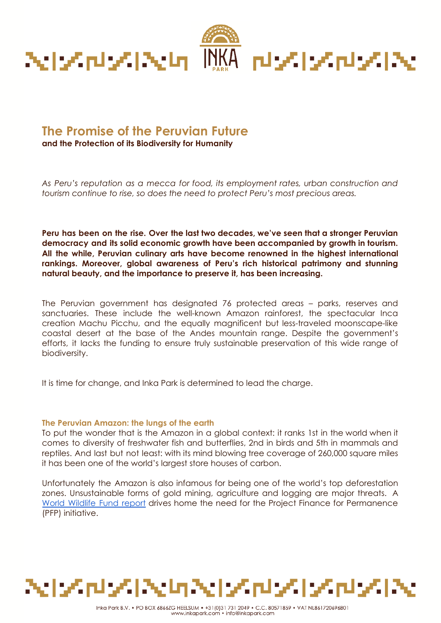

# **The Promise of the Peruvian Future**

**and the Protection of its Biodiversity for Humanity**

*As Peru's reputation as a mecca for food, its employment rates, urban construction and tourism continue to rise, so does the need to protect Peru's most precious areas.*

**Peru has been on the rise. Over the last two decades, we've seen that a stronger Peruvian democracy and its solid economic growth have been accompanied by growth in tourism. All the while, Peruvian culinary arts have become renowned in the highest international rankings. Moreover, global awareness of Peru's rich historical patrimony and stunning natural beauty, and the importance to preserve it, has been increasing.**

The Peruvian government has [designated](https://www.worldwildlife.org/initiatives/earth-for-life) 76 protected areas – parks, reserves and sanctuaries. These include the well-known Amazon rainforest, the spectacular Inca creation Machu Picchu, and the equally magnificent but less-traveled moonscape-like coastal desert at the base of the Andes mountain range. Despite the government's efforts, it lacks the funding to ensure truly sustainable preservation of this wide range of biodiversity.

It is time for change, and Inka Park is determined to lead the charge.

# **The Peruvian Amazon: the lungs of the earth**

To put the wonder that is the Amazon in a global context: it ranks 1st in the world when it comes to diversity of freshwater fish and butterflies, 2nd in birds and 5th in mammals and reptiles. And last but not least: with its mind blowing tree coverage of 260,000 square miles it has been one of the world's largest store houses of carbon.

Unfortunately the Amazon is also infamous for being one of the world's top deforestation zones. Unsustainable forms of gold mining, agriculture and logging are major threats. A World [Wildlife](https://www.worldwildlife.org/publications/living-forests-report-chapter-5-saving-forests-at-risk) Fund report drives home the need for the Project Finance for Permanence (PFP) initiative.